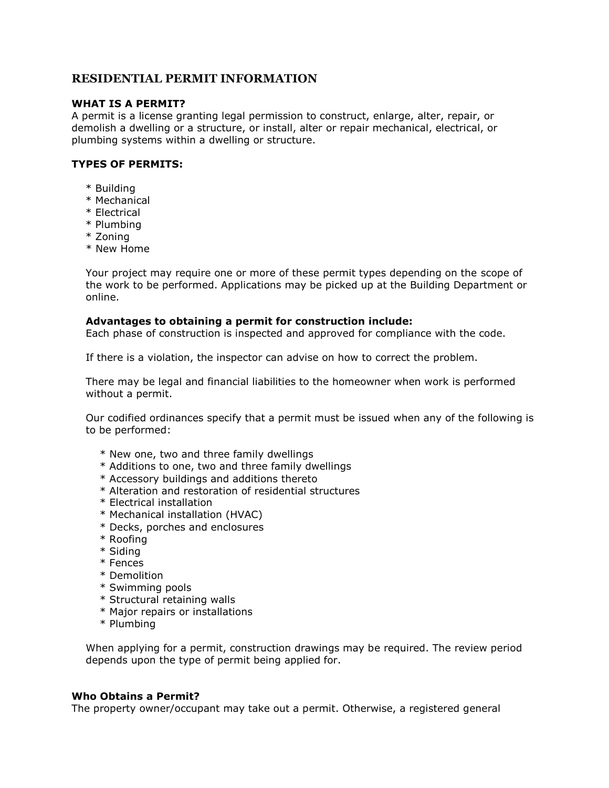# **RESIDENTIAL PERMIT INFORMATION**

# **WHAT IS A PERMIT?**

A permit is a license granting legal permission to construct, enlarge, alter, repair, or demolish a dwelling or a structure, or install, alter or repair mechanical, electrical, or plumbing systems within a dwelling or structure.

# **TYPES OF PERMITS:**

- \* Building
- \* Mechanical
- \* Electrical
- \* Plumbing
- \* Zoning
- \* New Home

Your project may require one or more of these permit types depending on the scope of the work to be performed. Applications may be picked up at the Building Department or online.

### **Advantages to obtaining a permit for construction include:**

Each phase of construction is inspected and approved for compliance with the code.

If there is a violation, the inspector can advise on how to correct the problem.

There may be legal and financial liabilities to the homeowner when work is performed without a permit.

Our codified ordinances specify that a permit must be issued when any of the following is to be performed:

- \* New one, two and three family dwellings
- \* Additions to one, two and three family dwellings
- \* Accessory buildings and additions thereto
- \* Alteration and restoration of residential structures
- \* Electrical installation
- \* Mechanical installation (HVAC)
- \* Decks, porches and enclosures
- \* Roofing
- \* Siding
- \* Fences
- \* Demolition
- \* Swimming pools
- \* Structural retaining walls
- \* Major repairs or installations
- \* Plumbing

When applying for a permit, construction drawings may be required. The review period depends upon the type of permit being applied for.

#### **Who Obtains a Permit?**

The property owner/occupant may take out a permit. Otherwise, a registered general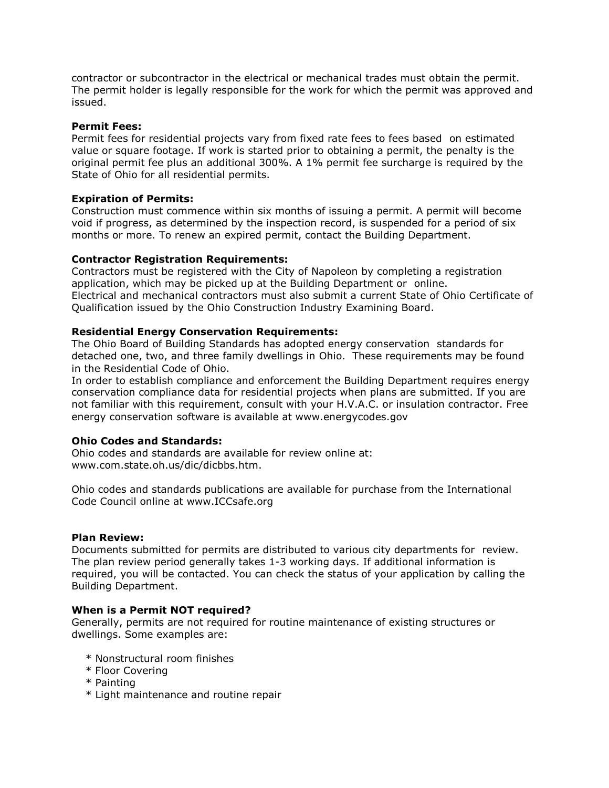contractor or subcontractor in the electrical or mechanical trades must obtain the permit. The permit holder is legally responsible for the work for which the permit was approved and issued.

## **Permit Fees:**

Permit fees for residential projects vary from fixed rate fees to fees based on estimated value or square footage. If work is started prior to obtaining a permit, the penalty is the original permit fee plus an additional 300%. A 1% permit fee surcharge is required by the State of Ohio for all residential permits.

### **Expiration of Permits:**

Construction must commence within six months of issuing a permit. A permit will become void if progress, as determined by the inspection record, is suspended for a period of six months or more. To renew an expired permit, contact the Building Department.

### **Contractor Registration Requirements:**

Contractors must be registered with the City of Napoleon by completing a registration application, which may be picked up at the Building Department or online. Electrical and mechanical contractors must also submit a current State of Ohio Certificate of Qualification issued by the Ohio Construction Industry Examining Board.

### **Residential Energy Conservation Requirements:**

The Ohio Board of Building Standards has adopted energy conservation standards for detached one, two, and three family dwellings in Ohio. These requirements may be found in the Residential Code of Ohio.

In order to establish compliance and enforcement the Building Department requires energy conservation compliance data for residential projects when plans are submitted. If you are not familiar with this requirement, consult with your H.V.A.C. or insulation contractor. Free energy conservation software is available at www.energycodes.gov

## **Ohio Codes and Standards:**

Ohio codes and standards are available for review online at: www.com.state.oh.us/dic/dicbbs.htm.

Ohio codes and standards publications are available for purchase from the International Code Council online at www.ICCsafe.org

#### **Plan Review:**

Documents submitted for permits are distributed to various city departments for review. The plan review period generally takes 1-3 working days. If additional information is required, you will be contacted. You can check the status of your application by calling the Building Department.

#### **When is a Permit NOT required?**

Generally, permits are not required for routine maintenance of existing structures or dwellings. Some examples are:

- \* Nonstructural room finishes
- \* Floor Covering
- \* Painting
- \* Light maintenance and routine repair